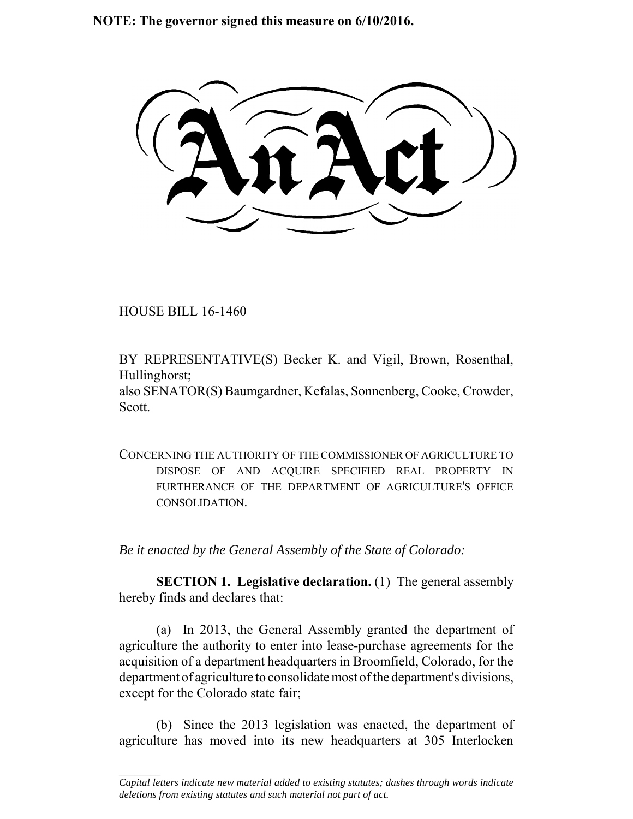**NOTE: The governor signed this measure on 6/10/2016.**

HOUSE BILL 16-1460

 $\frac{1}{2}$ 

BY REPRESENTATIVE(S) Becker K. and Vigil, Brown, Rosenthal, Hullinghorst;

also SENATOR(S) Baumgardner, Kefalas, Sonnenberg, Cooke, Crowder, Scott.

CONCERNING THE AUTHORITY OF THE COMMISSIONER OF AGRICULTURE TO DISPOSE OF AND ACQUIRE SPECIFIED REAL PROPERTY IN FURTHERANCE OF THE DEPARTMENT OF AGRICULTURE'S OFFICE CONSOLIDATION.

*Be it enacted by the General Assembly of the State of Colorado:*

**SECTION 1. Legislative declaration.** (1) The general assembly hereby finds and declares that:

(a) In 2013, the General Assembly granted the department of agriculture the authority to enter into lease-purchase agreements for the acquisition of a department headquarters in Broomfield, Colorado, for the department of agriculture to consolidate most of the department's divisions, except for the Colorado state fair;

(b) Since the 2013 legislation was enacted, the department of agriculture has moved into its new headquarters at 305 Interlocken

*Capital letters indicate new material added to existing statutes; dashes through words indicate deletions from existing statutes and such material not part of act.*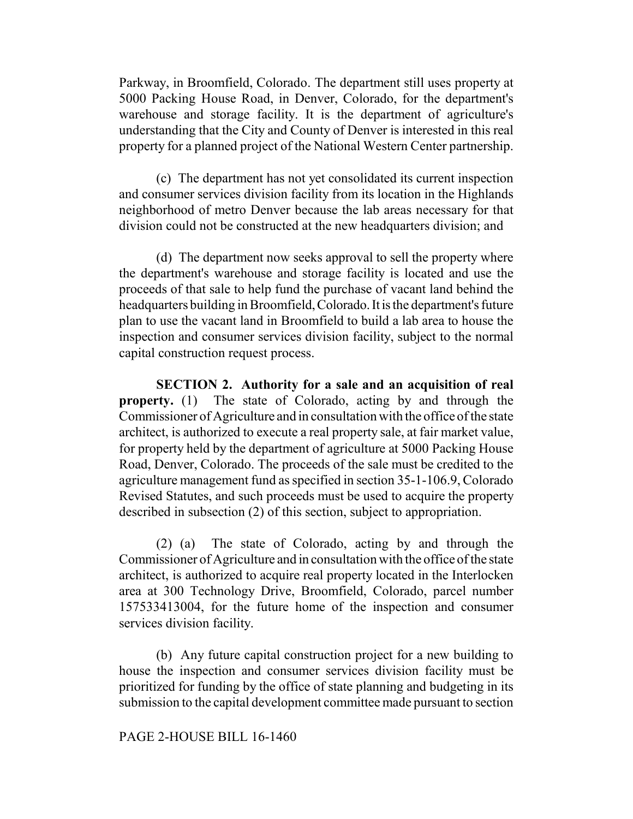Parkway, in Broomfield, Colorado. The department still uses property at 5000 Packing House Road, in Denver, Colorado, for the department's warehouse and storage facility. It is the department of agriculture's understanding that the City and County of Denver is interested in this real property for a planned project of the National Western Center partnership.

(c) The department has not yet consolidated its current inspection and consumer services division facility from its location in the Highlands neighborhood of metro Denver because the lab areas necessary for that division could not be constructed at the new headquarters division; and

(d) The department now seeks approval to sell the property where the department's warehouse and storage facility is located and use the proceeds of that sale to help fund the purchase of vacant land behind the headquarters building in Broomfield, Colorado. It is the department's future plan to use the vacant land in Broomfield to build a lab area to house the inspection and consumer services division facility, subject to the normal capital construction request process.

**SECTION 2. Authority for a sale and an acquisition of real property.** (1) The state of Colorado, acting by and through the Commissioner of Agriculture and in consultation with the office of the state architect, is authorized to execute a real property sale, at fair market value, for property held by the department of agriculture at 5000 Packing House Road, Denver, Colorado. The proceeds of the sale must be credited to the agriculture management fund as specified in section 35-1-106.9, Colorado Revised Statutes, and such proceeds must be used to acquire the property described in subsection (2) of this section, subject to appropriation.

(2) (a) The state of Colorado, acting by and through the Commissioner of Agriculture and in consultation with the office of the state architect, is authorized to acquire real property located in the Interlocken area at 300 Technology Drive, Broomfield, Colorado, parcel number 157533413004, for the future home of the inspection and consumer services division facility.

(b) Any future capital construction project for a new building to house the inspection and consumer services division facility must be prioritized for funding by the office of state planning and budgeting in its submission to the capital development committee made pursuant to section

## PAGE 2-HOUSE BILL 16-1460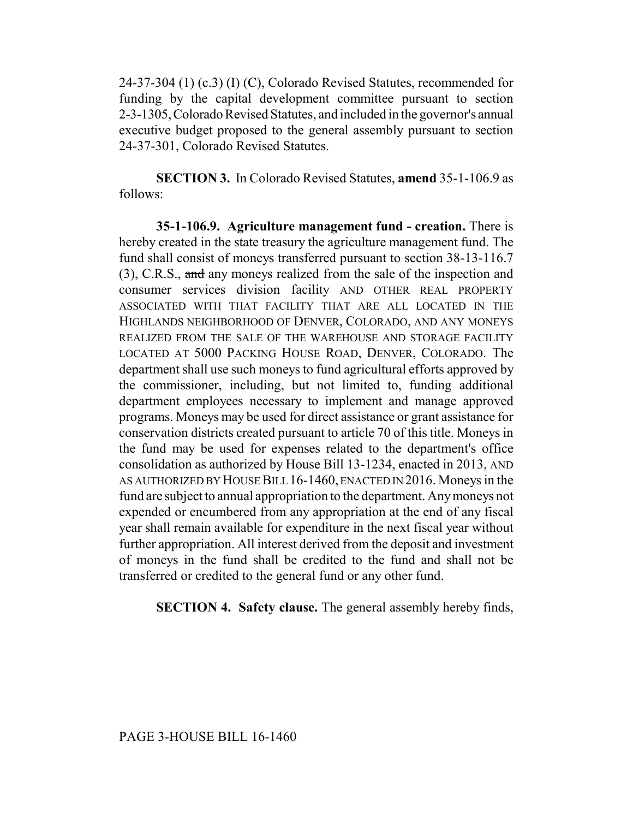24-37-304 (1) (c.3) (I) (C), Colorado Revised Statutes, recommended for funding by the capital development committee pursuant to section 2-3-1305, Colorado Revised Statutes, and included in the governor's annual executive budget proposed to the general assembly pursuant to section 24-37-301, Colorado Revised Statutes.

**SECTION 3.** In Colorado Revised Statutes, **amend** 35-1-106.9 as follows:

**35-1-106.9. Agriculture management fund - creation.** There is hereby created in the state treasury the agriculture management fund. The fund shall consist of moneys transferred pursuant to section 38-13-116.7 (3), C.R.S., and any moneys realized from the sale of the inspection and consumer services division facility AND OTHER REAL PROPERTY ASSOCIATED WITH THAT FACILITY THAT ARE ALL LOCATED IN THE HIGHLANDS NEIGHBORHOOD OF DENVER, COLORADO, AND ANY MONEYS REALIZED FROM THE SALE OF THE WAREHOUSE AND STORAGE FACILITY LOCATED AT 5000 PACKING HOUSE ROAD, DENVER, COLORADO. The department shall use such moneys to fund agricultural efforts approved by the commissioner, including, but not limited to, funding additional department employees necessary to implement and manage approved programs. Moneys may be used for direct assistance or grant assistance for conservation districts created pursuant to article 70 of this title. Moneys in the fund may be used for expenses related to the department's office consolidation as authorized by House Bill 13-1234, enacted in 2013, AND AS AUTHORIZED BY HOUSE BILL 16-1460, ENACTED IN 2016. Moneys in the fund are subject to annual appropriation to the department. Any moneys not expended or encumbered from any appropriation at the end of any fiscal year shall remain available for expenditure in the next fiscal year without further appropriation. All interest derived from the deposit and investment of moneys in the fund shall be credited to the fund and shall not be transferred or credited to the general fund or any other fund.

**SECTION 4. Safety clause.** The general assembly hereby finds,